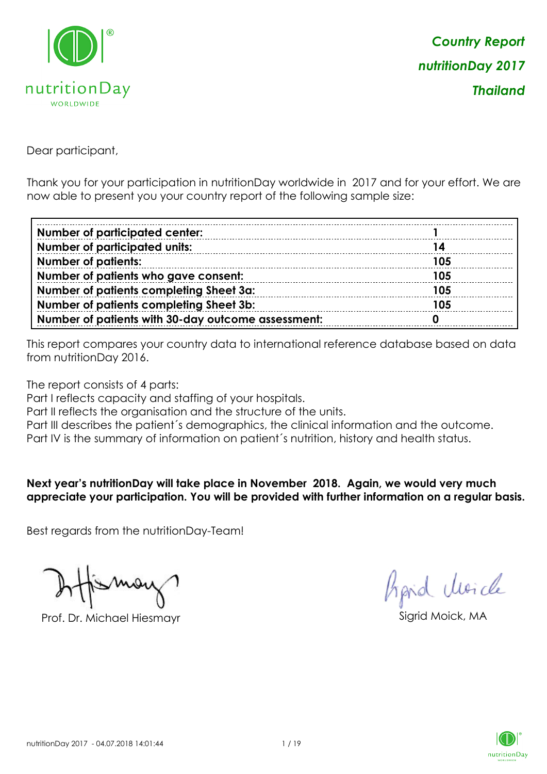

Dear participant,

Thank you for your participation in nutritionDay worldwide in 2017 and for your effort. We are now able to present you your country report of the following sample size:

| <b>Number of participated center:</b>              |     |
|----------------------------------------------------|-----|
| <b>Number of participated units:</b>               | 14  |
| <b>Number of patients:</b>                         | 105 |
| Number of patients who gave consent:               | 105 |
| Number of patients completing Sheet 3a:            | 105 |
| Number of patients completing Sheet 3b:            | 105 |
| Number of patients with 30-day outcome assessment: |     |

This report compares your country data to international reference database based on data from nutritionDay 2016.

The report consists of 4 parts:

Part I reflects capacity and staffing of your hospitals.

Part II reflects the organisation and the structure of the units.

Part III describes the patient's demographics, the clinical information and the outcome.

Part IV is the summary of information on patient´s nutrition, history and health status.

#### **Next year's nutritionDay will take place in November 2018. Again, we would very much appreciate your participation. You will be provided with further information on a regular basis.**

Best regards from the nutritionDay-Team!

Prof. Dr. Michael Hiesmayr Sigrid Moick, MA

Aprid Unicle

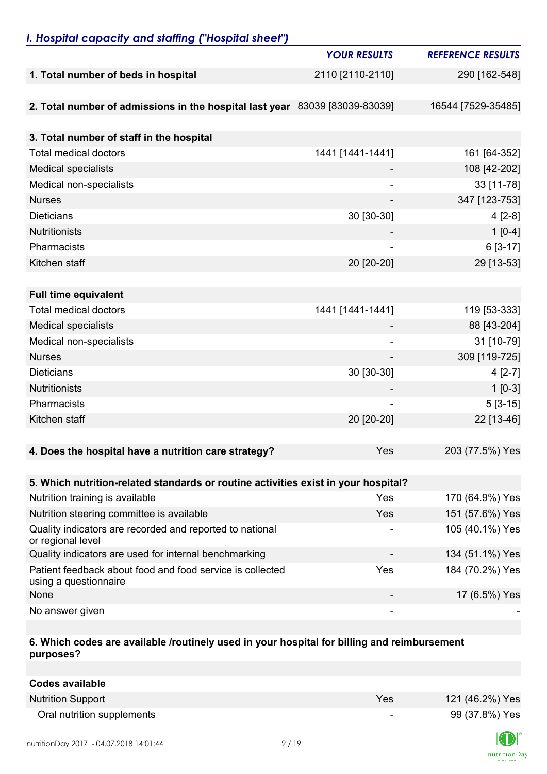## *I. Hospital capacity and staffing ("Hospital sheet")*

|                                                                                    | <b>YOUR RESULTS</b> | <b>REFERENCE RESULTS</b> |
|------------------------------------------------------------------------------------|---------------------|--------------------------|
| 1. Total number of beds in hospital                                                | 2110 [2110-2110]    | 290 [162-548]            |
|                                                                                    |                     |                          |
| 2. Total number of admissions in the hospital last year 83039 [83039-83039]        |                     | 16544 [7529-35485]       |
|                                                                                    |                     |                          |
| 3. Total number of staff in the hospital                                           |                     |                          |
| <b>Total medical doctors</b>                                                       | 1441 [1441-1441]    | 161 [64-352]             |
| <b>Medical specialists</b>                                                         |                     | 108 [42-202]             |
| Medical non-specialists                                                            | ۰                   | 33 [11-78]               |
| <b>Nurses</b>                                                                      | $\overline{a}$      | 347 [123-753]            |
| <b>Dieticians</b>                                                                  | 30 [30-30]          | $4[2-8]$                 |
| <b>Nutritionists</b>                                                               |                     | $1[0-4]$                 |
| Pharmacists                                                                        |                     | 6 [3-17]                 |
| Kitchen staff                                                                      | 20 [20-20]          | 29 [13-53]               |
|                                                                                    |                     |                          |
| <b>Full time equivalent</b>                                                        |                     |                          |
| <b>Total medical doctors</b>                                                       | 1441 [1441-1441]    | 119 [53-333]             |
| <b>Medical specialists</b>                                                         |                     | 88 [43-204]              |
| Medical non-specialists                                                            |                     | 31 [10-79]               |
| <b>Nurses</b>                                                                      |                     | 309 [119-725]            |
| <b>Dieticians</b>                                                                  | 30 [30-30]          | $4[2-7]$                 |
| <b>Nutritionists</b>                                                               |                     | $1[0-3]$                 |
| Pharmacists                                                                        |                     | $5[3-15]$                |
| Kitchen staff                                                                      | 20 [20-20]          | 22 [13-46]               |
|                                                                                    |                     |                          |
| 4. Does the hospital have a nutrition care strategy?                               | Yes                 | 203 (77.5%) Yes          |
|                                                                                    |                     |                          |
| 5. Which nutrition-related standards or routine activities exist in your hospital? |                     |                          |
| Nutrition training is available                                                    | Yes                 | 170 (64.9%) Yes          |
| Nutrition steering committee is available                                          | <b>Yes</b>          | 151 (57.6%) Yes          |
| Quality indicators are recorded and reported to national<br>or regional level      |                     | 105 (40.1%) Yes          |
| Quality indicators are used for internal benchmarking                              |                     | 134 (51.1%) Yes          |
| Patient feedback about food and food service is collected<br>using a questionnaire | Yes                 | 184 (70.2%) Yes          |
| None                                                                               | ۰                   | 17 (6.5%) Yes            |
| No answer given                                                                    |                     |                          |

### **6. Which codes are available /routinely used in your hospital for billing and reimbursement purposes?**

| <b>Codes available</b>     |     |                 |
|----------------------------|-----|-----------------|
| <b>Nutrition Support</b>   | Yes | 121 (46.2%) Yes |
| Oral nutrition supplements | ۰.  | 99 (37.8%) Yes  |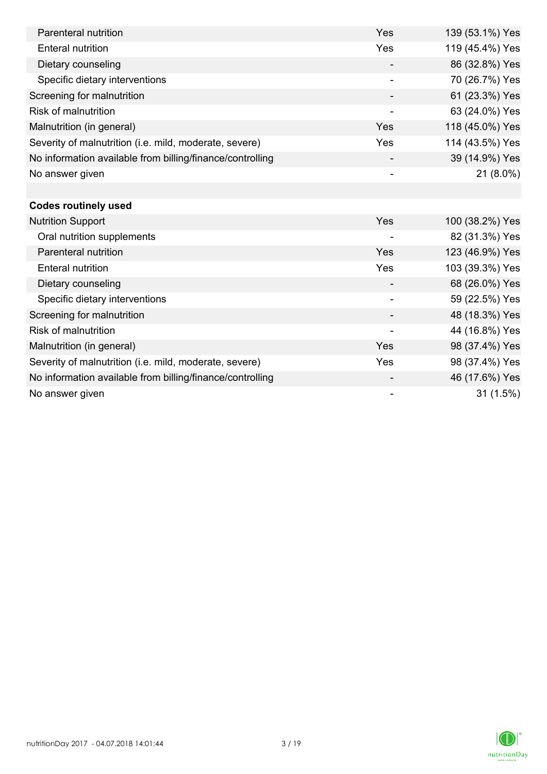| Parenteral nutrition                                      | Yes                      | 139 (53.1%) Yes |
|-----------------------------------------------------------|--------------------------|-----------------|
| <b>Enteral nutrition</b>                                  | Yes                      | 119 (45.4%) Yes |
| Dietary counseling                                        |                          | 86 (32.8%) Yes  |
| Specific dietary interventions                            |                          | 70 (26.7%) Yes  |
| Screening for malnutrition                                |                          | 61 (23.3%) Yes  |
| <b>Risk of malnutrition</b>                               | $\overline{\phantom{a}}$ | 63 (24.0%) Yes  |
| Malnutrition (in general)                                 | Yes                      | 118 (45.0%) Yes |
| Severity of malnutrition (i.e. mild, moderate, severe)    | Yes                      | 114 (43.5%) Yes |
| No information available from billing/finance/controlling |                          | 39 (14.9%) Yes  |
| No answer given                                           |                          | 21 (8.0%)       |
|                                                           |                          |                 |
| <b>Codes routinely used</b>                               |                          |                 |
| <b>Nutrition Support</b>                                  | Yes                      | 100 (38.2%) Yes |
| Oral nutrition supplements                                | $\overline{\phantom{a}}$ | 82 (31.3%) Yes  |
| Parenteral nutrition                                      | Yes                      | 123 (46.9%) Yes |
| <b>Enteral nutrition</b>                                  | Yes                      | 103 (39.3%) Yes |
| Dietary counseling                                        |                          | 68 (26.0%) Yes  |
| Specific dietary interventions                            |                          | 59 (22.5%) Yes  |
| Screening for malnutrition                                |                          | 48 (18.3%) Yes  |
| <b>Risk of malnutrition</b>                               |                          | 44 (16.8%) Yes  |
| Malnutrition (in general)                                 | Yes                      | 98 (37.4%) Yes  |
| Severity of malnutrition (i.e. mild, moderate, severe)    | Yes                      | 98 (37.4%) Yes  |
| No information available from billing/finance/controlling |                          | 46 (17.6%) Yes  |
| No answer given                                           |                          | 31 (1.5%)       |

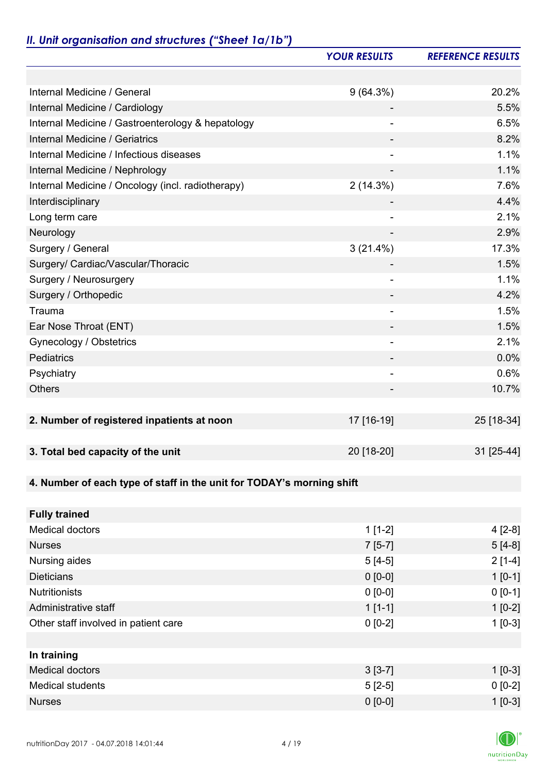# *II. Unit organisation and structures ("Sheet 1a/1b")*

|                                                                       | <b>YOUR RESULTS</b>      | <b>REFERENCE RESULTS</b> |
|-----------------------------------------------------------------------|--------------------------|--------------------------|
|                                                                       |                          |                          |
| Internal Medicine / General                                           | $9(64.3\%)$              | 20.2%                    |
| Internal Medicine / Cardiology                                        |                          | 5.5%                     |
| Internal Medicine / Gastroenterology & hepatology                     |                          | 6.5%                     |
| Internal Medicine / Geriatrics                                        |                          | 8.2%                     |
| Internal Medicine / Infectious diseases                               | $\overline{\phantom{a}}$ | 1.1%                     |
| Internal Medicine / Nephrology                                        | ٠                        | 1.1%                     |
| Internal Medicine / Oncology (incl. radiotherapy)                     | 2(14.3%)                 | 7.6%                     |
| Interdisciplinary                                                     |                          | 4.4%                     |
| Long term care                                                        |                          | 2.1%                     |
| Neurology                                                             |                          | 2.9%                     |
| Surgery / General                                                     | $3(21.4\%)$              | 17.3%                    |
| Surgery/ Cardiac/Vascular/Thoracic                                    |                          | 1.5%                     |
| Surgery / Neurosurgery                                                | ٠                        | 1.1%                     |
| Surgery / Orthopedic                                                  |                          | 4.2%                     |
| Trauma                                                                |                          | 1.5%                     |
| Ear Nose Throat (ENT)                                                 |                          | 1.5%                     |
| Gynecology / Obstetrics                                               | $\overline{\phantom{a}}$ | 2.1%                     |
| Pediatrics                                                            |                          | 0.0%                     |
| Psychiatry                                                            | ٠                        | 0.6%                     |
| <b>Others</b>                                                         |                          | 10.7%                    |
|                                                                       |                          |                          |
| 2. Number of registered inpatients at noon                            | 17 [16-19]               | 25 [18-34]               |
|                                                                       |                          |                          |
| 3. Total bed capacity of the unit                                     | 20 [18-20]               | 31 [25-44]               |
|                                                                       |                          |                          |
| 4. Number of each type of staff in the unit for TODAY's morning shift |                          |                          |
|                                                                       |                          |                          |
| <b>Fully trained</b>                                                  |                          |                          |
| <b>Medical doctors</b>                                                | $1[1-2]$                 | $4[2-8]$                 |
| <b>Nurses</b>                                                         | $7[5-7]$                 | $5[4-8]$                 |
| Nursing aides                                                         | $5[4-5]$                 | $2[1-4]$                 |
| <b>Dieticians</b>                                                     | $0 [0-0]$                | $1[0-1]$                 |
| <b>Nutritionists</b>                                                  | $0 [0-0]$                | $0 [0-1]$                |
| Administrative staff                                                  | $1[1-1]$                 | $1[0-2]$                 |
| Other staff involved in patient care                                  | $0 [0-2]$                | $1[0-3]$                 |
|                                                                       |                          |                          |
| In training                                                           |                          |                          |
| <b>Medical doctors</b>                                                | $3[3-7]$                 | $1 [0-3]$                |
| <b>Medical students</b>                                               | $5[2-5]$                 | $0 [0-2]$                |
| <b>Nurses</b>                                                         | $0 [0-0]$                | $1[0-3]$                 |

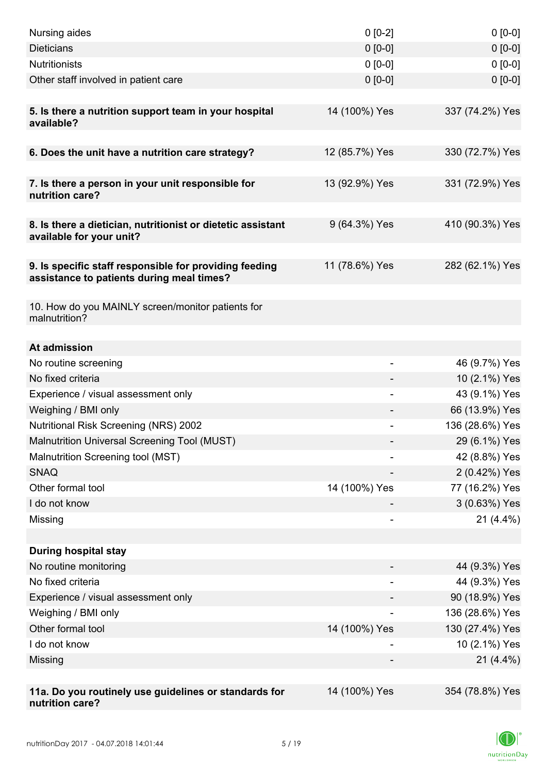| Nursing aides                                                                                       | $0 [0-2]$      | $0[0-0]$        |
|-----------------------------------------------------------------------------------------------------|----------------|-----------------|
| <b>Dieticians</b>                                                                                   | $0 [0-0]$      | $0 [0-0]$       |
| <b>Nutritionists</b>                                                                                | $0 [0-0]$      | $0 [0-0]$       |
| Other staff involved in patient care                                                                | $0 [0-0]$      | $0 [0-0]$       |
|                                                                                                     |                |                 |
| 5. Is there a nutrition support team in your hospital<br>available?                                 | 14 (100%) Yes  | 337 (74.2%) Yes |
| 6. Does the unit have a nutrition care strategy?                                                    | 12 (85.7%) Yes | 330 (72.7%) Yes |
|                                                                                                     |                |                 |
| 7. Is there a person in your unit responsible for<br>nutrition care?                                | 13 (92.9%) Yes | 331 (72.9%) Yes |
| 8. Is there a dietician, nutritionist or dietetic assistant<br>available for your unit?             | 9 (64.3%) Yes  | 410 (90.3%) Yes |
| 9. Is specific staff responsible for providing feeding<br>assistance to patients during meal times? | 11 (78.6%) Yes | 282 (62.1%) Yes |
| 10. How do you MAINLY screen/monitor patients for<br>malnutrition?                                  |                |                 |
| At admission                                                                                        |                |                 |
| No routine screening                                                                                |                | 46 (9.7%) Yes   |
| No fixed criteria                                                                                   |                | 10 (2.1%) Yes   |
| Experience / visual assessment only                                                                 |                | 43 (9.1%) Yes   |
| Weighing / BMI only                                                                                 |                | 66 (13.9%) Yes  |
| <b>Nutritional Risk Screening (NRS) 2002</b>                                                        |                | 136 (28.6%) Yes |
| Malnutrition Universal Screening Tool (MUST)                                                        |                | 29 (6.1%) Yes   |
| Malnutrition Screening tool (MST)                                                                   |                | 42 (8.8%) Yes   |
| <b>SNAQ</b>                                                                                         |                | 2 (0.42%) Yes   |
| Other formal tool                                                                                   | 14 (100%) Yes  | 77 (16.2%) Yes  |
| I do not know                                                                                       |                | 3 (0.63%) Yes   |
| Missing                                                                                             | $\overline{a}$ | $21(4.4\%)$     |
|                                                                                                     |                |                 |
| <b>During hospital stay</b>                                                                         |                |                 |
| No routine monitoring                                                                               |                | 44 (9.3%) Yes   |
| No fixed criteria                                                                                   |                | 44 (9.3%) Yes   |
| Experience / visual assessment only                                                                 |                | 90 (18.9%) Yes  |
| Weighing / BMI only                                                                                 |                | 136 (28.6%) Yes |
| Other formal tool                                                                                   | 14 (100%) Yes  | 130 (27.4%) Yes |
| I do not know                                                                                       |                | 10 (2.1%) Yes   |
| Missing                                                                                             |                | $21(4.4\%)$     |
|                                                                                                     |                |                 |
| 11a. Do you routinely use guidelines or standards for<br>nutrition care?                            | 14 (100%) Yes  | 354 (78.8%) Yes |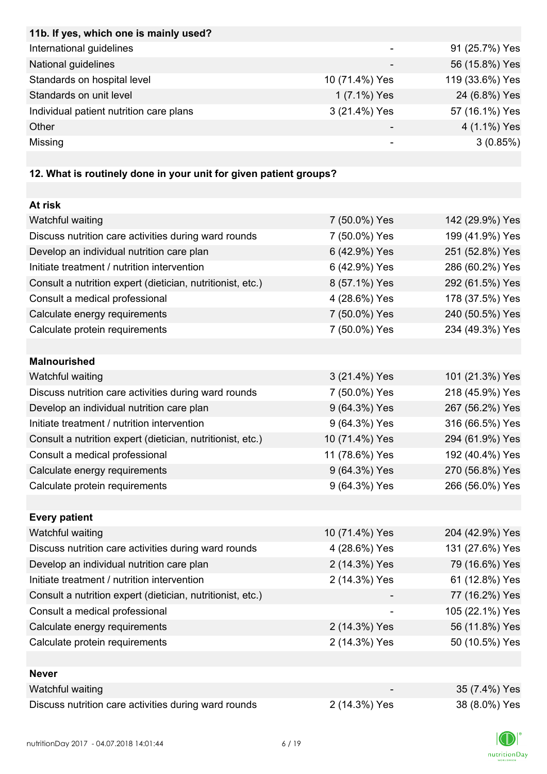| 11b. If yes, which one is mainly used?                            |                |                 |
|-------------------------------------------------------------------|----------------|-----------------|
| International guidelines                                          |                | 91 (25.7%) Yes  |
| National guidelines                                               |                | 56 (15.8%) Yes  |
| Standards on hospital level                                       | 10 (71.4%) Yes | 119 (33.6%) Yes |
| Standards on unit level                                           | 1 (7.1%) Yes   | 24 (6.8%) Yes   |
| Individual patient nutrition care plans                           | 3 (21.4%) Yes  | 57 (16.1%) Yes  |
| Other                                                             |                | 4 (1.1%) Yes    |
| Missing                                                           |                | 3(0.85%)        |
|                                                                   |                |                 |
| 12. What is routinely done in your unit for given patient groups? |                |                 |
|                                                                   |                |                 |

| At risk                                                    |                |                 |
|------------------------------------------------------------|----------------|-----------------|
| Watchful waiting                                           | 7 (50.0%) Yes  | 142 (29.9%) Yes |
| Discuss nutrition care activities during ward rounds       | 7 (50.0%) Yes  | 199 (41.9%) Yes |
| Develop an individual nutrition care plan                  | 6 (42.9%) Yes  | 251 (52.8%) Yes |
| Initiate treatment / nutrition intervention                | 6 (42.9%) Yes  | 286 (60.2%) Yes |
| Consult a nutrition expert (dietician, nutritionist, etc.) | 8 (57.1%) Yes  | 292 (61.5%) Yes |
| Consult a medical professional                             | 4 (28.6%) Yes  | 178 (37.5%) Yes |
| Calculate energy requirements                              | 7 (50.0%) Yes  | 240 (50.5%) Yes |
| Calculate protein requirements                             | 7 (50.0%) Yes  | 234 (49.3%) Yes |
|                                                            |                |                 |
| <b>Malnourished</b>                                        |                |                 |
| Watchful waiting                                           | 3 (21.4%) Yes  | 101 (21.3%) Yes |
| Discuss nutrition care activities during ward rounds       | 7 (50.0%) Yes  | 218 (45.9%) Yes |
| Develop an individual nutrition care plan                  | 9 (64.3%) Yes  | 267 (56.2%) Yes |
| Initiate treatment / nutrition intervention                | 9 (64.3%) Yes  | 316 (66.5%) Yes |
| Consult a nutrition expert (dietician, nutritionist, etc.) | 10 (71.4%) Yes | 294 (61.9%) Yes |
| Consult a medical professional                             | 11 (78.6%) Yes | 192 (40.4%) Yes |
| Calculate energy requirements                              | 9 (64.3%) Yes  | 270 (56.8%) Yes |
| Calculate protein requirements                             | 9 (64.3%) Yes  | 266 (56.0%) Yes |
|                                                            |                |                 |
| <b>Every patient</b>                                       |                |                 |
| Watchful waiting                                           | 10 (71.4%) Yes | 204 (42.9%) Yes |
| Discuss nutrition care activities during ward rounds       | 4 (28.6%) Yes  | 131 (27.6%) Yes |
| Develop an individual nutrition care plan                  | 2 (14.3%) Yes  | 79 (16.6%) Yes  |
| Initiate treatment / nutrition intervention                | 2 (14.3%) Yes  | 61 (12.8%) Yes  |
| Consult a nutrition expert (dietician, nutritionist, etc.) |                | 77 (16.2%) Yes  |
| Consult a medical professional                             |                | 105 (22.1%) Yes |
| Calculate energy requirements                              | 2 (14.3%) Yes  | 56 (11.8%) Yes  |
| Calculate protein requirements                             | 2 (14.3%) Yes  | 50 (10.5%) Yes  |
|                                                            |                |                 |
| <b>Never</b>                                               |                |                 |
| Watchful waiting                                           |                | 35 (7.4%) Yes   |
| Discuss nutrition care activities during ward rounds       | 2 (14.3%) Yes  | 38 (8.0%) Yes   |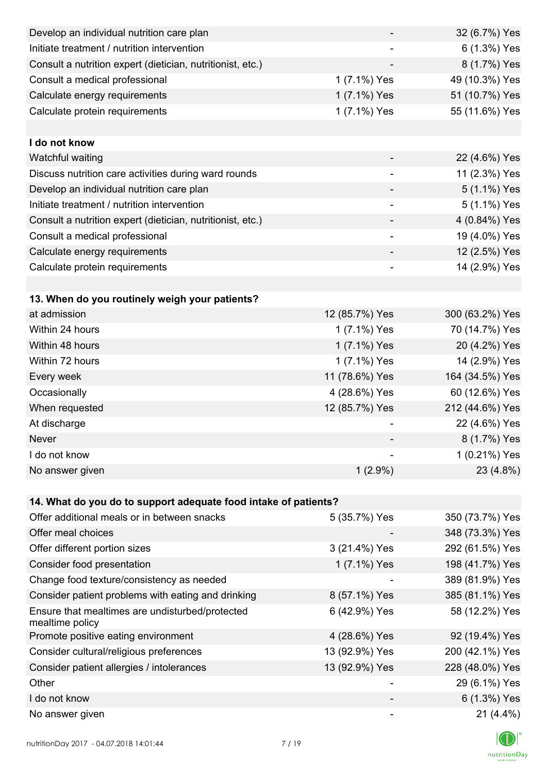| Develop an individual nutrition care plan                          |                          | 32 (6.7%) Yes   |
|--------------------------------------------------------------------|--------------------------|-----------------|
| Initiate treatment / nutrition intervention                        |                          | 6 (1.3%) Yes    |
| Consult a nutrition expert (dietician, nutritionist, etc.)         |                          | 8 (1.7%) Yes    |
| Consult a medical professional                                     | 1 (7.1%) Yes             | 49 (10.3%) Yes  |
| Calculate energy requirements                                      | 1 (7.1%) Yes             | 51 (10.7%) Yes  |
| Calculate protein requirements                                     | 1 (7.1%) Yes             | 55 (11.6%) Yes  |
|                                                                    |                          |                 |
| I do not know                                                      |                          |                 |
| Watchful waiting                                                   |                          | 22 (4.6%) Yes   |
| Discuss nutrition care activities during ward rounds               |                          | 11 (2.3%) Yes   |
| Develop an individual nutrition care plan                          |                          | 5 (1.1%) Yes    |
| Initiate treatment / nutrition intervention                        | $\overline{\phantom{a}}$ | 5 (1.1%) Yes    |
| Consult a nutrition expert (dietician, nutritionist, etc.)         |                          | 4 (0.84%) Yes   |
| Consult a medical professional                                     |                          | 19 (4.0%) Yes   |
| Calculate energy requirements                                      |                          | 12 (2.5%) Yes   |
| Calculate protein requirements                                     |                          | 14 (2.9%) Yes   |
|                                                                    |                          |                 |
| 13. When do you routinely weigh your patients?                     |                          |                 |
| at admission                                                       | 12 (85.7%) Yes           | 300 (63.2%) Yes |
| Within 24 hours                                                    | 1 (7.1%) Yes             | 70 (14.7%) Yes  |
| Within 48 hours                                                    | 1 (7.1%) Yes             | 20 (4.2%) Yes   |
| Within 72 hours                                                    | 1 (7.1%) Yes             | 14 (2.9%) Yes   |
| Every week                                                         | 11 (78.6%) Yes           | 164 (34.5%) Yes |
| Occasionally                                                       | 4 (28.6%) Yes            | 60 (12.6%) Yes  |
| When requested                                                     | 12 (85.7%) Yes           | 212 (44.6%) Yes |
| At discharge                                                       |                          | 22 (4.6%) Yes   |
| Never                                                              |                          | 8 (1.7%) Yes    |
| I do not know                                                      |                          | 1 (0.21%) Yes   |
| No answer given                                                    | $1(2.9\%)$               | 23 (4.8%)       |
|                                                                    |                          |                 |
| 14. What do you do to support adequate food intake of patients?    |                          |                 |
| Offer additional meals or in between snacks                        | 5 (35.7%) Yes            | 350 (73.7%) Yes |
| Offer meal choices                                                 |                          | 348 (73.3%) Yes |
| Offer different portion sizes                                      | 3 (21.4%) Yes            | 292 (61.5%) Yes |
| Consider food presentation                                         | 1 (7.1%) Yes             | 198 (41.7%) Yes |
| Change food texture/consistency as needed                          |                          | 389 (81.9%) Yes |
| Consider patient problems with eating and drinking                 | 8 (57.1%) Yes            | 385 (81.1%) Yes |
| Ensure that mealtimes are undisturbed/protected<br>mealtime policy | 6 (42.9%) Yes            | 58 (12.2%) Yes  |
| Promote positive eating environment                                | 4 (28.6%) Yes            | 92 (19.4%) Yes  |
| Consider cultural/religious preferences                            | 13 (92.9%) Yes           | 200 (42.1%) Yes |
| Consider patient allergies / intolerances                          | 13 (92.9%) Yes           | 228 (48.0%) Yes |
| Other                                                              |                          | 29 (6.1%) Yes   |
| I do not know                                                      |                          | 6 (1.3%) Yes    |
| No answer given                                                    |                          | $21(4.4\%)$     |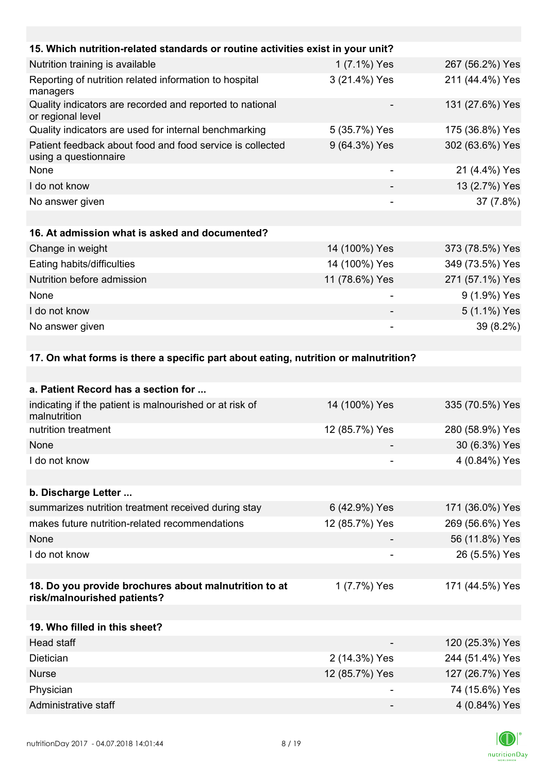| 15. Which nutrition-related standards or routine activities exist in your unit?     |                |                 |
|-------------------------------------------------------------------------------------|----------------|-----------------|
| Nutrition training is available                                                     | 1 (7.1%) Yes   | 267 (56.2%) Yes |
| Reporting of nutrition related information to hospital<br>managers                  | 3 (21.4%) Yes  | 211 (44.4%) Yes |
| Quality indicators are recorded and reported to national<br>or regional level       |                | 131 (27.6%) Yes |
| Quality indicators are used for internal benchmarking                               | 5 (35.7%) Yes  | 175 (36.8%) Yes |
| Patient feedback about food and food service is collected<br>using a questionnaire  | 9 (64.3%) Yes  | 302 (63.6%) Yes |
| None                                                                                |                | 21 (4.4%) Yes   |
| I do not know                                                                       |                | 13 (2.7%) Yes   |
| No answer given                                                                     |                | 37 (7.8%)       |
|                                                                                     |                |                 |
| 16. At admission what is asked and documented?                                      |                |                 |
| Change in weight                                                                    | 14 (100%) Yes  | 373 (78.5%) Yes |
| Eating habits/difficulties                                                          | 14 (100%) Yes  | 349 (73.5%) Yes |
| Nutrition before admission                                                          | 11 (78.6%) Yes | 271 (57.1%) Yes |
| None                                                                                | -              | 9 (1.9%) Yes    |
| I do not know                                                                       |                | 5 (1.1%) Yes    |
| No answer given                                                                     |                | 39 (8.2%)       |
|                                                                                     |                |                 |
| 17. On what forms is there a specific part about eating, nutrition or malnutrition? |                |                 |
|                                                                                     |                |                 |
| a. Patient Record has a section for.                                                |                |                 |

| a. r authi NtCulu nas a studil iul                                                   |                |                 |
|--------------------------------------------------------------------------------------|----------------|-----------------|
| indicating if the patient is malnourished or at risk of<br>malnutrition              | 14 (100%) Yes  | 335 (70.5%) Yes |
| nutrition treatment                                                                  | 12 (85.7%) Yes | 280 (58.9%) Yes |
| None                                                                                 |                | 30 (6.3%) Yes   |
| I do not know                                                                        |                | 4 (0.84%) Yes   |
|                                                                                      |                |                 |
| b. Discharge Letter                                                                  |                |                 |
| summarizes nutrition treatment received during stay                                  | 6 (42.9%) Yes  | 171 (36.0%) Yes |
| makes future nutrition-related recommendations                                       | 12 (85.7%) Yes | 269 (56.6%) Yes |
| None                                                                                 |                | 56 (11.8%) Yes  |
| I do not know                                                                        |                | 26 (5.5%) Yes   |
|                                                                                      |                |                 |
| 18. Do you provide brochures about malnutrition to at<br>risk/malnourished patients? | 1 (7.7%) Yes   | 171 (44.5%) Yes |
|                                                                                      |                |                 |
| 19. Who filled in this sheet?                                                        |                |                 |
| Head staff                                                                           |                | 120 (25.3%) Yes |
| Dietician                                                                            | 2 (14.3%) Yes  | 244 (51.4%) Yes |
| <b>Nurse</b>                                                                         | 12 (85.7%) Yes | 127 (26.7%) Yes |
| Physician                                                                            |                | 74 (15.6%) Yes  |
| Administrative staff                                                                 |                | 4 (0.84%) Yes   |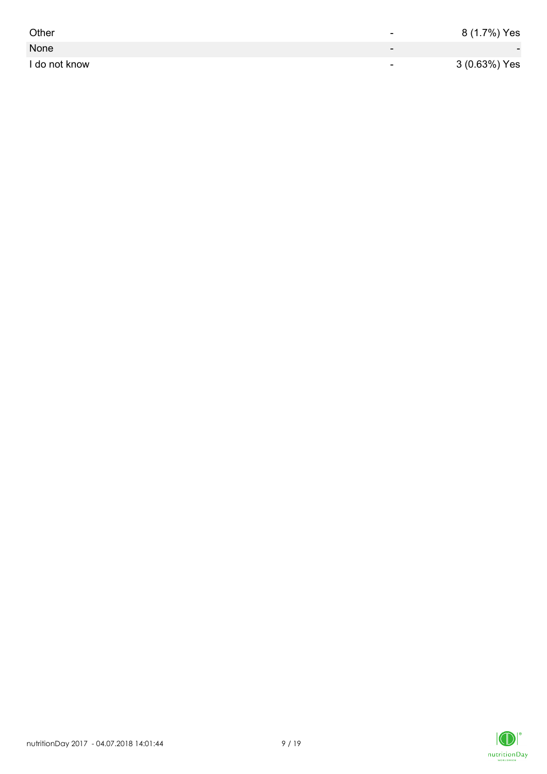| Other         | -                        | 8 (1.7%) Yes             |
|---------------|--------------------------|--------------------------|
| None          | $\overline{\phantom{0}}$ | $\overline{\phantom{0}}$ |
| I do not know | $\overline{\phantom{0}}$ | 3 (0.63%) Yes            |

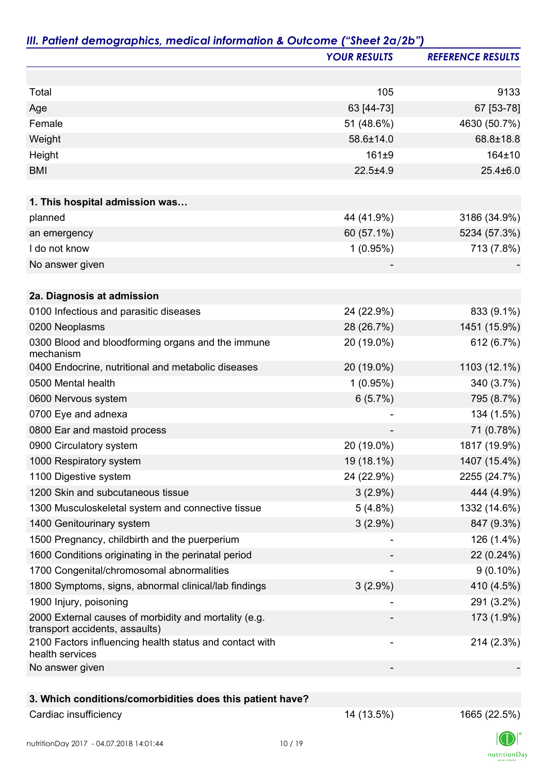|                                                                                         | <b>YOUR RESULTS</b> | <b>REFERENCE RESULTS</b> |
|-----------------------------------------------------------------------------------------|---------------------|--------------------------|
|                                                                                         |                     |                          |
| Total                                                                                   | 105                 | 9133                     |
| Age                                                                                     | 63 [44-73]          | 67 [53-78]               |
| Female                                                                                  | 51 (48.6%)          | 4630 (50.7%)             |
| Weight                                                                                  | 58.6±14.0           | 68.8±18.8                |
| Height                                                                                  | 161±9               | 164±10                   |
| <b>BMI</b>                                                                              | $22.5 + 4.9$        | $25.4 \pm 6.0$           |
|                                                                                         |                     |                          |
| 1. This hospital admission was                                                          |                     |                          |
| planned                                                                                 | 44 (41.9%)          | 3186 (34.9%)             |
| an emergency                                                                            | 60 (57.1%)          | 5234 (57.3%)             |
| I do not know                                                                           | 1(0.95%)            | 713 (7.8%)               |
| No answer given                                                                         |                     |                          |
| 2a. Diagnosis at admission                                                              |                     |                          |
| 0100 Infectious and parasitic diseases                                                  | 24 (22.9%)          | 833 (9.1%)               |
| 0200 Neoplasms                                                                          | 28 (26.7%)          | 1451 (15.9%)             |
| 0300 Blood and bloodforming organs and the immune<br>mechanism                          | 20 (19.0%)          | 612 (6.7%)               |
| 0400 Endocrine, nutritional and metabolic diseases                                      | 20 (19.0%)          | 1103 (12.1%)             |
| 0500 Mental health                                                                      | $1(0.95\%)$         | 340 (3.7%)               |
| 0600 Nervous system                                                                     | 6(5.7%)             | 795 (8.7%)               |
| 0700 Eye and adnexa                                                                     |                     | 134 (1.5%)               |
| 0800 Ear and mastoid process                                                            |                     | 71 (0.78%)               |
| 0900 Circulatory system                                                                 | 20 (19.0%)          | 1817 (19.9%)             |
| 1000 Respiratory system                                                                 | 19 (18.1%)          | 1407 (15.4%)             |
| 1100 Digestive system                                                                   | 24 (22.9%)          | 2255 (24.7%)             |
| 1200 Skin and subcutaneous tissue                                                       | $3(2.9\%)$          | 444 (4.9%)               |
| 1300 Musculoskeletal system and connective tissue                                       | $5(4.8\%)$          | 1332 (14.6%)             |
| 1400 Genitourinary system                                                               | $3(2.9\%)$          | 847 (9.3%)               |
| 1500 Pregnancy, childbirth and the puerperium                                           |                     | 126 (1.4%)               |
| 1600 Conditions originating in the perinatal period                                     |                     | 22 (0.24%)               |
| 1700 Congenital/chromosomal abnormalities                                               |                     | $9(0.10\%)$              |
| 1800 Symptoms, signs, abnormal clinical/lab findings                                    | $3(2.9\%)$          | 410 (4.5%)               |
| 1900 Injury, poisoning                                                                  |                     | 291 (3.2%)               |
| 2000 External causes of morbidity and mortality (e.g.<br>transport accidents, assaults) |                     | 173 (1.9%)               |
| 2100 Factors influencing health status and contact with<br>health services              |                     | 214 (2.3%)               |
| No answer given                                                                         |                     |                          |
| 3. Which conditions/comorbidities does this patient have?                               |                     |                          |

## Cardiac insufficiency 2.5%) 1665 (22.5%)

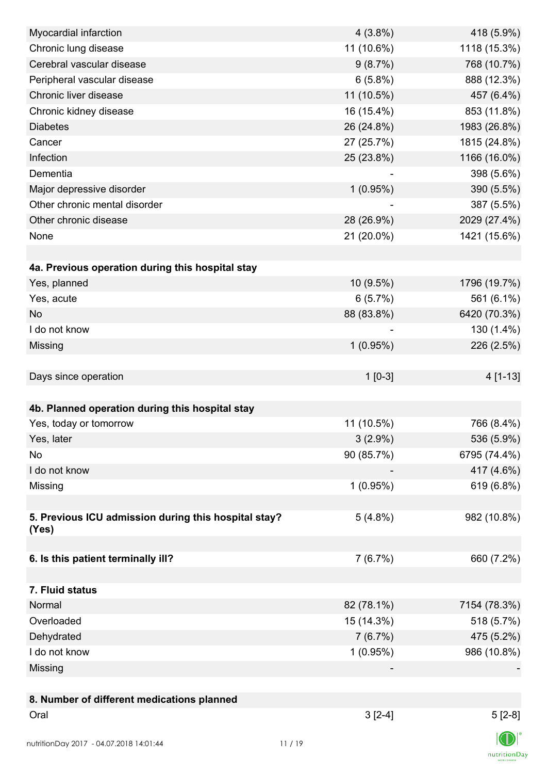| Myocardial infarction                                | $4(3.8\%)$ | 418 (5.9%)   |
|------------------------------------------------------|------------|--------------|
| Chronic lung disease                                 | 11 (10.6%) | 1118 (15.3%) |
| Cerebral vascular disease                            | 9(8.7%)    | 768 (10.7%)  |
| Peripheral vascular disease                          | 6(5.8%)    | 888 (12.3%)  |
| Chronic liver disease                                | 11 (10.5%) | 457 (6.4%)   |
| Chronic kidney disease                               | 16 (15.4%) | 853 (11.8%)  |
| <b>Diabetes</b>                                      | 26 (24.8%) | 1983 (26.8%) |
| Cancer                                               | 27 (25.7%) | 1815 (24.8%) |
| Infection                                            | 25 (23.8%) | 1166 (16.0%) |
| Dementia                                             |            | 398 (5.6%)   |
| Major depressive disorder                            | 1(0.95%)   | 390 (5.5%)   |
| Other chronic mental disorder                        |            | 387 (5.5%)   |
| Other chronic disease                                | 28 (26.9%) | 2029 (27.4%) |
| None                                                 | 21 (20.0%) | 1421 (15.6%) |
|                                                      |            |              |
| 4a. Previous operation during this hospital stay     |            |              |
| Yes, planned                                         | 10 (9.5%)  | 1796 (19.7%) |
| Yes, acute                                           | 6(5.7%)    | 561 (6.1%)   |
| <b>No</b>                                            | 88 (83.8%) | 6420 (70.3%) |
| I do not know                                        |            | 130 (1.4%)   |
| Missing                                              | 1(0.95%)   | 226 (2.5%)   |
|                                                      |            |              |
| Days since operation                                 | $1[0-3]$   | 4 [1-13]     |
|                                                      |            |              |
|                                                      |            |              |
| 4b. Planned operation during this hospital stay      | 11 (10.5%) |              |
| Yes, today or tomorrow                               |            | 766 (8.4%)   |
| Yes, later                                           | $3(2.9\%)$ | 536 (5.9%)   |
| No                                                   | 90 (85.7%) | 6795 (74.4%) |
| I do not know                                        |            | 417 (4.6%)   |
| Missing                                              | 1(0.95%)   | 619 (6.8%)   |
|                                                      |            |              |
| 5. Previous ICU admission during this hospital stay? | $5(4.8\%)$ | 982 (10.8%)  |
| (Yes)                                                |            |              |
| 6. Is this patient terminally ill?                   | 7(6.7%)    | 660 (7.2%)   |
|                                                      |            |              |
| 7. Fluid status                                      |            |              |
| Normal                                               | 82 (78.1%) | 7154 (78.3%) |
| Overloaded                                           | 15 (14.3%) | 518 (5.7%)   |
| Dehydrated                                           | 7(6.7%)    | 475 (5.2%)   |
| I do not know                                        | 1(0.95%)   | 986 (10.8%)  |
|                                                      |            |              |
| Missing                                              |            |              |
|                                                      |            |              |
| 8. Number of different medications planned           |            |              |
| Oral                                                 | $3[2-4]$   | $5[2-8]$     |
| nutritionDay 2017 - 04.07.2018 14:01:44              | 11/19      |              |

 $\textsf{nutritionDay}$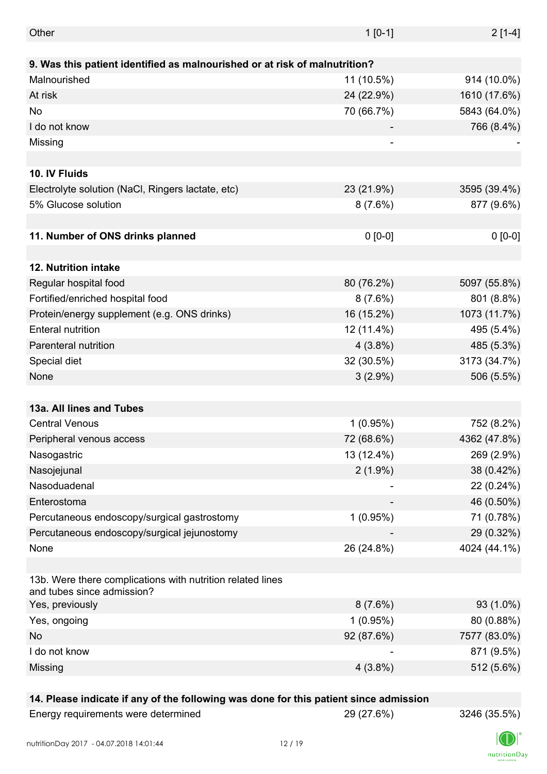| Other                                                                                    | $1 [0-1]$                | $2[1-4]$     |
|------------------------------------------------------------------------------------------|--------------------------|--------------|
|                                                                                          |                          |              |
| 9. Was this patient identified as malnourished or at risk of malnutrition?               |                          |              |
| Malnourished                                                                             | 11 (10.5%)               | 914 (10.0%)  |
| At risk                                                                                  | 24 (22.9%)               | 1610 (17.6%) |
| No                                                                                       | 70 (66.7%)               | 5843 (64.0%) |
| I do not know                                                                            |                          | 766 (8.4%)   |
| Missing                                                                                  | $\overline{\phantom{a}}$ |              |
|                                                                                          |                          |              |
| 10. IV Fluids                                                                            |                          |              |
| Electrolyte solution (NaCl, Ringers lactate, etc)                                        | 23 (21.9%)               | 3595 (39.4%) |
| 5% Glucose solution                                                                      | 8(7.6%)                  | 877 (9.6%)   |
|                                                                                          |                          |              |
| 11. Number of ONS drinks planned                                                         | $0 [0-0]$                | $0 [0-0]$    |
|                                                                                          |                          |              |
| <b>12. Nutrition intake</b>                                                              |                          |              |
| Regular hospital food                                                                    | 80 (76.2%)               | 5097 (55.8%) |
| Fortified/enriched hospital food                                                         | 8(7.6%)                  | 801 (8.8%)   |
| Protein/energy supplement (e.g. ONS drinks)                                              | 16 (15.2%)               | 1073 (11.7%) |
| <b>Enteral nutrition</b>                                                                 | 12 (11.4%)               | 495 (5.4%)   |
| Parenteral nutrition                                                                     | $4(3.8\%)$               | 485 (5.3%)   |
| Special diet                                                                             | 32 (30.5%)               | 3173 (34.7%) |
| None                                                                                     | $3(2.9\%)$               | 506 (5.5%)   |
|                                                                                          |                          |              |
| 13a. All lines and Tubes                                                                 |                          |              |
| <b>Central Venous</b>                                                                    | 1(0.95%)                 | 752 (8.2%)   |
| Peripheral venous access                                                                 | 72 (68.6%)               | 4362 (47.8%) |
| Nasogastric                                                                              | 13 (12.4%)               | 269 (2.9%)   |
| Nasojejunal                                                                              | $2(1.9\%)$               | 38 (0.42%)   |
| Nasoduadenal                                                                             |                          | 22 (0.24%)   |
| Enterostoma                                                                              |                          | 46 (0.50%)   |
|                                                                                          |                          |              |
| Percutaneous endoscopy/surgical gastrostomy                                              | 1(0.95%)                 | 71 (0.78%)   |
| Percutaneous endoscopy/surgical jejunostomy                                              |                          | 29 (0.32%)   |
| None                                                                                     | 26 (24.8%)               | 4024 (44.1%) |
| 13b. Were there complications with nutrition related lines<br>and tubes since admission? |                          |              |
| Yes, previously                                                                          | $8(7.6\%)$               | 93 (1.0%)    |
| Yes, ongoing                                                                             | 1(0.95%)                 | 80 (0.88%)   |
| No                                                                                       | 92 (87.6%)               | 7577 (83.0%) |
| I do not know                                                                            |                          | 871 (9.5%)   |
| Missing                                                                                  | $4(3.8\%)$               | 512 (5.6%)   |
|                                                                                          |                          |              |

### **14. Please indicate if any of the following was done for this patient since admission**

| Energy requirements were determined |  |
|-------------------------------------|--|
|-------------------------------------|--|

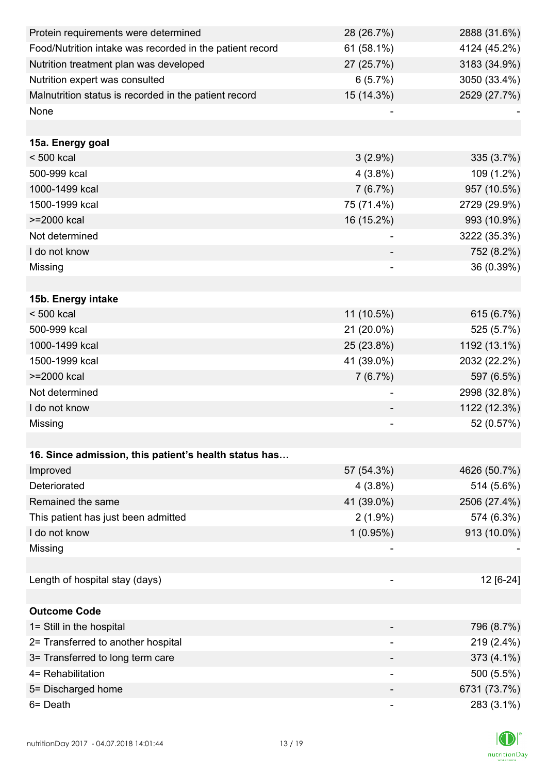| Protein requirements were determined                     | 28 (26.7%)               | 2888 (31.6%) |
|----------------------------------------------------------|--------------------------|--------------|
| Food/Nutrition intake was recorded in the patient record | $61(58.1\%)$             | 4124 (45.2%) |
| Nutrition treatment plan was developed                   | 27 (25.7%)               | 3183 (34.9%) |
| Nutrition expert was consulted                           | 6(5.7%)                  | 3050 (33.4%) |
| Malnutrition status is recorded in the patient record    | 15 (14.3%)               | 2529 (27.7%) |
| None                                                     |                          |              |
|                                                          |                          |              |
| 15a. Energy goal                                         |                          |              |
| $< 500$ kcal                                             | $3(2.9\%)$               | 335 (3.7%)   |
| 500-999 kcal                                             | $4(3.8\%)$               | 109 (1.2%)   |
| 1000-1499 kcal                                           | 7(6.7%)                  | 957 (10.5%)  |
| 1500-1999 kcal                                           | 75 (71.4%)               | 2729 (29.9%) |
| >=2000 kcal                                              | 16 (15.2%)               | 993 (10.9%)  |
| Not determined                                           |                          | 3222 (35.3%) |
| I do not know                                            |                          | 752 (8.2%)   |
| Missing                                                  |                          | 36 (0.39%)   |
|                                                          |                          |              |
| 15b. Energy intake                                       |                          |              |
| $< 500$ kcal                                             | 11 (10.5%)               | 615 (6.7%)   |
| 500-999 kcal                                             | 21 (20.0%)               | 525 (5.7%)   |
| 1000-1499 kcal                                           | 25 (23.8%)               | 1192 (13.1%) |
| 1500-1999 kcal                                           | 41 (39.0%)               | 2032 (22.2%) |
| >=2000 kcal                                              | 7(6.7%)                  | 597 (6.5%)   |
| Not determined                                           | -                        | 2998 (32.8%) |
| I do not know                                            |                          | 1122 (12.3%) |
| Missing                                                  |                          | 52 (0.57%)   |
|                                                          |                          |              |
| 16. Since admission, this patient's health status has    |                          |              |
| Improved                                                 | 57 (54.3%)               | 4626 (50.7%) |
| Deteriorated                                             | $4(3.8\%)$               | 514 (5.6%)   |
| Remained the same                                        | 41 (39.0%)               | 2506 (27.4%) |
| This patient has just been admitted                      | $2(1.9\%)$               | 574 (6.3%)   |
| I do not know                                            | 1(0.95%)                 | 913 (10.0%)  |
| Missing                                                  |                          |              |
|                                                          |                          |              |
| Length of hospital stay (days)                           |                          | 12 [6-24]    |
|                                                          |                          |              |
| <b>Outcome Code</b>                                      |                          |              |
| 1= Still in the hospital                                 |                          | 796 (8.7%)   |
| 2= Transferred to another hospital                       |                          | 219 (2.4%)   |
| 3= Transferred to long term care                         |                          | 373 (4.1%)   |
| 4= Rehabilitation                                        | $\overline{\phantom{a}}$ | 500 (5.5%)   |
| 5= Discharged home                                       |                          | 6731 (73.7%) |
| 6= Death                                                 |                          | 283 (3.1%)   |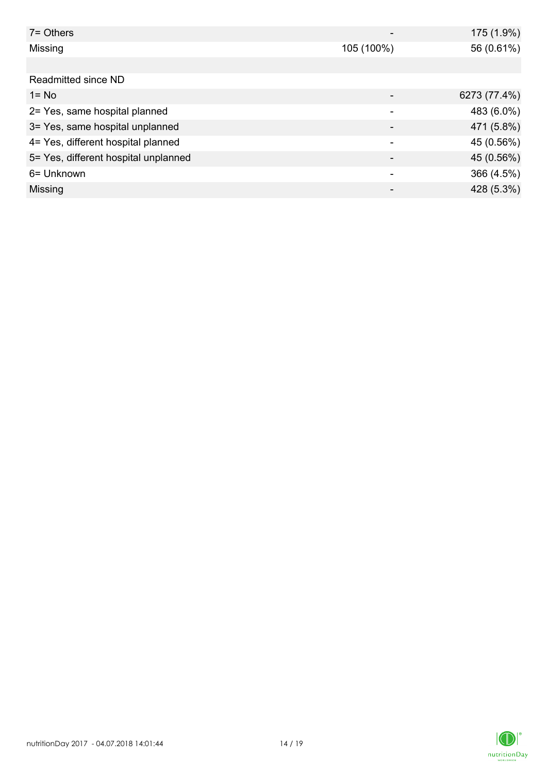| $7 =$ Others                         |            | 175 (1.9%)   |
|--------------------------------------|------------|--------------|
| Missing                              | 105 (100%) | 56 (0.61%)   |
|                                      |            |              |
| Readmitted since ND                  |            |              |
| $1 = No$                             |            | 6273 (77.4%) |
| 2= Yes, same hospital planned        |            | 483 (6.0%)   |
| 3= Yes, same hospital unplanned      |            | 471 (5.8%)   |
| 4= Yes, different hospital planned   | ۰          | 45 (0.56%)   |
| 5= Yes, different hospital unplanned |            | 45 (0.56%)   |
| 6= Unknown                           |            | 366 (4.5%)   |
| Missing                              |            | 428 (5.3%)   |

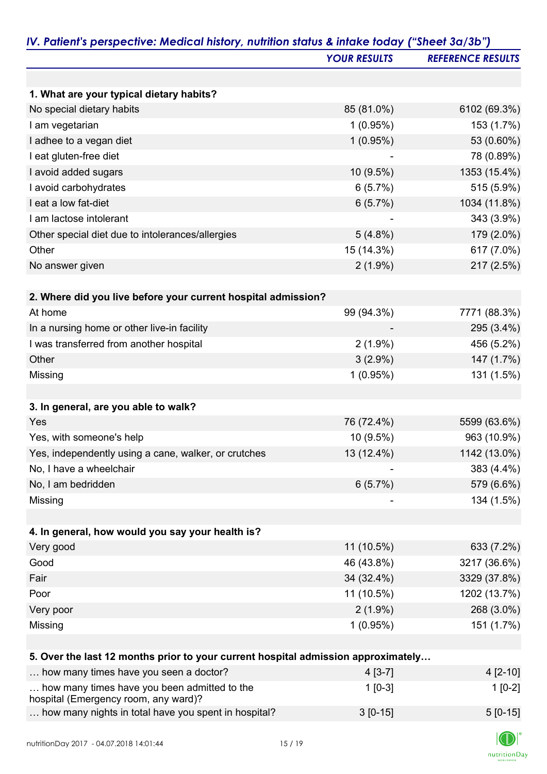|                                                                                      | <b>YOUR RESULTS</b> | <b>REFERENCE RESULTS</b> |
|--------------------------------------------------------------------------------------|---------------------|--------------------------|
|                                                                                      |                     |                          |
| 1. What are your typical dietary habits?                                             |                     |                          |
| No special dietary habits                                                            | 85 (81.0%)          | 6102 (69.3%)             |
| I am vegetarian                                                                      | 1(0.95%)            | 153 (1.7%)               |
| I adhee to a vegan diet                                                              | 1(0.95%)            | 53 (0.60%)               |
| I eat gluten-free diet                                                               |                     | 78 (0.89%)               |
| I avoid added sugars                                                                 | $10(9.5\%)$         | 1353 (15.4%)             |
| I avoid carbohydrates                                                                | 6(5.7%)             | 515 (5.9%)               |
| I eat a low fat-diet                                                                 | 6(5.7%)             | 1034 (11.8%)             |
| I am lactose intolerant                                                              |                     | 343 (3.9%)               |
| Other special diet due to intolerances/allergies                                     | $5(4.8\%)$          | 179 (2.0%)               |
| Other                                                                                | 15 (14.3%)          | 617 (7.0%)               |
| No answer given                                                                      | $2(1.9\%)$          | 217 (2.5%)               |
|                                                                                      |                     |                          |
| 2. Where did you live before your current hospital admission?                        |                     |                          |
| At home                                                                              | 99 (94.3%)          | 7771 (88.3%)             |
| In a nursing home or other live-in facility                                          |                     | 295 (3.4%)               |
| I was transferred from another hospital                                              | $2(1.9\%)$          | 456 (5.2%)               |
| Other                                                                                | $3(2.9\%)$          | 147 (1.7%)               |
| Missing                                                                              | 1(0.95%)            | 131 (1.5%)               |
|                                                                                      |                     |                          |
| 3. In general, are you able to walk?                                                 |                     |                          |
| Yes                                                                                  | 76 (72.4%)          | 5599 (63.6%)             |
| Yes, with someone's help                                                             | 10 (9.5%)           | 963 (10.9%)              |
| Yes, independently using a cane, walker, or crutches                                 | 13 (12.4%)          | 1142 (13.0%)             |
| No, I have a wheelchair                                                              |                     | 383 (4.4%)               |
| No, I am bedridden                                                                   | 6(5.7%)             | 579 (6.6%)               |
| Missing                                                                              |                     | 134 (1.5%)               |
|                                                                                      |                     |                          |
| 4. In general, how would you say your health is?                                     |                     |                          |
| Very good                                                                            | 11 (10.5%)          | 633 (7.2%)               |
| Good                                                                                 | 46 (43.8%)          | 3217 (36.6%)             |
| Fair                                                                                 | 34 (32.4%)          | 3329 (37.8%)             |
| Poor                                                                                 | 11 (10.5%)          | 1202 (13.7%)             |
| Very poor                                                                            | $2(1.9\%)$          | 268 (3.0%)               |
| Missing                                                                              | 1(0.95%)            | 151 (1.7%)               |
|                                                                                      |                     |                          |
| 5. Over the last 12 months prior to your current hospital admission approximately    |                     |                          |
| how many times have you seen a doctor?                                               | $4[3-7]$            | $4[2-10]$                |
| how many times have you been admitted to the<br>hospital (Emergency room, any ward)? | $1[0-3]$            | $1[0-2]$                 |
| how many nights in total have you spent in hospital?                                 | $3[0-15]$           | $5[0-15]$                |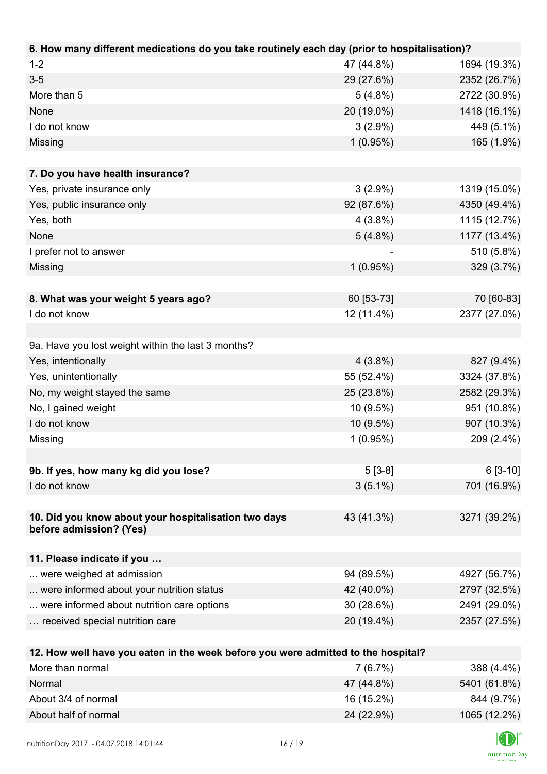| $1 - 2$<br>47 (44.8%)<br>1694 (19.3%)<br>$3-5$<br>29 (27.6%)<br>2352 (26.7%)<br>More than 5<br>$5(4.8\%)$<br>2722 (30.9%)<br>20 (19.0%)<br>1418 (16.1%)<br>None<br>I do not know<br>$3(2.9\%)$<br>449 (5.1%)<br>1(0.95%)<br>165 (1.9%)<br>Missing<br>7. Do you have health insurance?<br>Yes, private insurance only<br>$3(2.9\%)$<br>1319 (15.0%)<br>92 (87.6%)<br>4350 (49.4%)<br>Yes, public insurance only<br>Yes, both<br>1115 (12.7%)<br>$4(3.8\%)$<br>1177 (13.4%)<br>None<br>$5(4.8\%)$<br>510 (5.8%)<br>I prefer not to answer<br>329 (3.7%)<br>Missing<br>$1(0.95\%)$ | 6. How many different medications do you take routinely each day (prior to hospitalisation)? |  |
|---------------------------------------------------------------------------------------------------------------------------------------------------------------------------------------------------------------------------------------------------------------------------------------------------------------------------------------------------------------------------------------------------------------------------------------------------------------------------------------------------------------------------------------------------------------------------------|----------------------------------------------------------------------------------------------|--|
|                                                                                                                                                                                                                                                                                                                                                                                                                                                                                                                                                                                 |                                                                                              |  |
|                                                                                                                                                                                                                                                                                                                                                                                                                                                                                                                                                                                 |                                                                                              |  |
|                                                                                                                                                                                                                                                                                                                                                                                                                                                                                                                                                                                 |                                                                                              |  |
|                                                                                                                                                                                                                                                                                                                                                                                                                                                                                                                                                                                 |                                                                                              |  |
|                                                                                                                                                                                                                                                                                                                                                                                                                                                                                                                                                                                 |                                                                                              |  |
|                                                                                                                                                                                                                                                                                                                                                                                                                                                                                                                                                                                 |                                                                                              |  |
|                                                                                                                                                                                                                                                                                                                                                                                                                                                                                                                                                                                 |                                                                                              |  |
|                                                                                                                                                                                                                                                                                                                                                                                                                                                                                                                                                                                 |                                                                                              |  |
|                                                                                                                                                                                                                                                                                                                                                                                                                                                                                                                                                                                 |                                                                                              |  |
|                                                                                                                                                                                                                                                                                                                                                                                                                                                                                                                                                                                 |                                                                                              |  |
|                                                                                                                                                                                                                                                                                                                                                                                                                                                                                                                                                                                 |                                                                                              |  |
|                                                                                                                                                                                                                                                                                                                                                                                                                                                                                                                                                                                 |                                                                                              |  |
|                                                                                                                                                                                                                                                                                                                                                                                                                                                                                                                                                                                 |                                                                                              |  |
|                                                                                                                                                                                                                                                                                                                                                                                                                                                                                                                                                                                 |                                                                                              |  |
|                                                                                                                                                                                                                                                                                                                                                                                                                                                                                                                                                                                 |                                                                                              |  |
| 60 [53-73]<br>70 [60-83]<br>8. What was your weight 5 years ago?                                                                                                                                                                                                                                                                                                                                                                                                                                                                                                                |                                                                                              |  |
| 2377 (27.0%)<br>I do not know<br>12 (11.4%)                                                                                                                                                                                                                                                                                                                                                                                                                                                                                                                                     |                                                                                              |  |
|                                                                                                                                                                                                                                                                                                                                                                                                                                                                                                                                                                                 |                                                                                              |  |
| 9a. Have you lost weight within the last 3 months?                                                                                                                                                                                                                                                                                                                                                                                                                                                                                                                              |                                                                                              |  |
| Yes, intentionally<br>$4(3.8\%)$<br>827 (9.4%)                                                                                                                                                                                                                                                                                                                                                                                                                                                                                                                                  |                                                                                              |  |
| Yes, unintentionally<br>55 (52.4%)<br>3324 (37.8%)                                                                                                                                                                                                                                                                                                                                                                                                                                                                                                                              |                                                                                              |  |
| No, my weight stayed the same<br>2582 (29.3%)<br>25 (23.8%)                                                                                                                                                                                                                                                                                                                                                                                                                                                                                                                     |                                                                                              |  |
| No, I gained weight<br>951 (10.8%)<br>10 (9.5%)                                                                                                                                                                                                                                                                                                                                                                                                                                                                                                                                 |                                                                                              |  |
| I do not know<br>907 (10.3%)<br>10 (9.5%)                                                                                                                                                                                                                                                                                                                                                                                                                                                                                                                                       |                                                                                              |  |
| 1(0.95%)<br>209 (2.4%)<br>Missing                                                                                                                                                                                                                                                                                                                                                                                                                                                                                                                                               |                                                                                              |  |
|                                                                                                                                                                                                                                                                                                                                                                                                                                                                                                                                                                                 |                                                                                              |  |
| 9b. If yes, how many kg did you lose?<br>$6[3-10]$<br>$5[3-8]$                                                                                                                                                                                                                                                                                                                                                                                                                                                                                                                  |                                                                                              |  |
| I do not know<br>$3(5.1\%)$<br>701 (16.9%)                                                                                                                                                                                                                                                                                                                                                                                                                                                                                                                                      |                                                                                              |  |
|                                                                                                                                                                                                                                                                                                                                                                                                                                                                                                                                                                                 |                                                                                              |  |
| 10. Did you know about your hospitalisation two days<br>43 (41.3%)<br>3271 (39.2%)                                                                                                                                                                                                                                                                                                                                                                                                                                                                                              |                                                                                              |  |
| before admission? (Yes)                                                                                                                                                                                                                                                                                                                                                                                                                                                                                                                                                         |                                                                                              |  |
|                                                                                                                                                                                                                                                                                                                                                                                                                                                                                                                                                                                 |                                                                                              |  |
| 11. Please indicate if you<br>94 (89.5%)                                                                                                                                                                                                                                                                                                                                                                                                                                                                                                                                        |                                                                                              |  |
| 4927 (56.7%)<br>were weighed at admission<br>42 (40.0%)                                                                                                                                                                                                                                                                                                                                                                                                                                                                                                                         |                                                                                              |  |
| were informed about your nutrition status<br>2797 (32.5%)                                                                                                                                                                                                                                                                                                                                                                                                                                                                                                                       |                                                                                              |  |
| were informed about nutrition care options<br>30 (28.6%)<br>2491 (29.0%)                                                                                                                                                                                                                                                                                                                                                                                                                                                                                                        |                                                                                              |  |
| received special nutrition care<br>20 (19.4%)<br>2357 (27.5%)                                                                                                                                                                                                                                                                                                                                                                                                                                                                                                                   |                                                                                              |  |
| 12. How well have you eaten in the week before you were admitted to the hospital?                                                                                                                                                                                                                                                                                                                                                                                                                                                                                               |                                                                                              |  |
| More than normal<br>7(6.7%)<br>388 (4.4%)                                                                                                                                                                                                                                                                                                                                                                                                                                                                                                                                       |                                                                                              |  |
| 47 (44.8%)<br>Normal<br>5401 (61.8%)                                                                                                                                                                                                                                                                                                                                                                                                                                                                                                                                            |                                                                                              |  |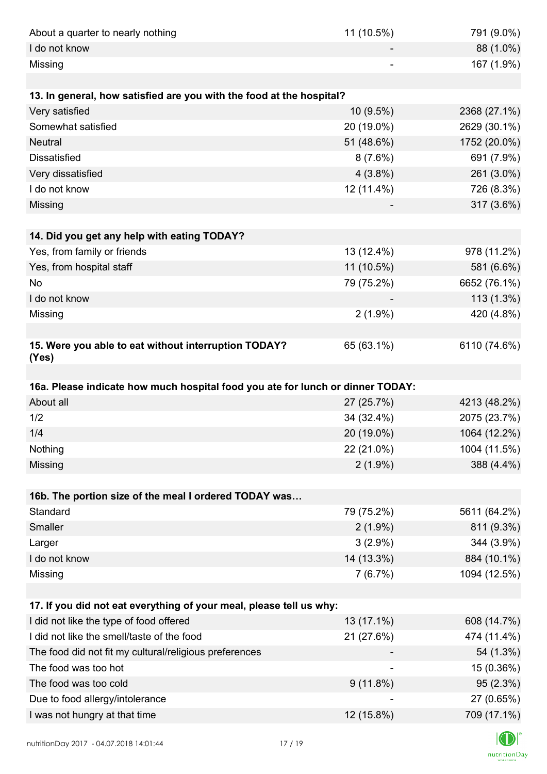| About a quarter to nearly nothing                                              | 11 (10.5%)  | 791 (9.0%)                                                               |
|--------------------------------------------------------------------------------|-------------|--------------------------------------------------------------------------|
| I do not know                                                                  |             | 88 (1.0%)                                                                |
| Missing                                                                        |             | 167 (1.9%)                                                               |
|                                                                                |             |                                                                          |
| 13. In general, how satisfied are you with the food at the hospital?           |             |                                                                          |
| Very satisfied                                                                 | 10 (9.5%)   | 2368 (27.1%)                                                             |
| Somewhat satisfied                                                             | 20 (19.0%)  | 2629 (30.1%)                                                             |
| <b>Neutral</b>                                                                 | 51 (48.6%)  | 1752 (20.0%)                                                             |
| <b>Dissatisfied</b>                                                            | 8(7.6%)     | 691 (7.9%)                                                               |
| Very dissatisfied                                                              | $4(3.8\%)$  | 261 (3.0%)                                                               |
| I do not know                                                                  | 12 (11.4%)  | 726 (8.3%)                                                               |
| Missing                                                                        |             | 317 (3.6%)                                                               |
|                                                                                |             |                                                                          |
| 14. Did you get any help with eating TODAY?                                    |             |                                                                          |
| Yes, from family or friends                                                    | 13 (12.4%)  | 978 (11.2%)                                                              |
| Yes, from hospital staff                                                       | 11 (10.5%)  | 581 (6.6%)                                                               |
| <b>No</b>                                                                      | 79 (75.2%)  | 6652 (76.1%)                                                             |
| I do not know                                                                  |             | $113(1.3\%)$                                                             |
| Missing                                                                        | $2(1.9\%)$  | 420 (4.8%)                                                               |
|                                                                                |             |                                                                          |
| 15. Were you able to eat without interruption TODAY?                           | 65 (63.1%)  | 6110 (74.6%)                                                             |
| (Yes)                                                                          |             |                                                                          |
|                                                                                |             |                                                                          |
|                                                                                |             |                                                                          |
| 16a. Please indicate how much hospital food you ate for lunch or dinner TODAY: |             |                                                                          |
| About all                                                                      | 27 (25.7%)  | 4213 (48.2%)                                                             |
| 1/2                                                                            | 34 (32.4%)  |                                                                          |
| 1/4                                                                            | 20 (19.0%)  | 1064 (12.2%)                                                             |
| Nothing                                                                        | 22 (21.0%)  | 1004 (11.5%)                                                             |
| Missing                                                                        | $2(1.9\%)$  | 388 (4.4%)                                                               |
|                                                                                |             |                                                                          |
| 16b. The portion size of the meal I ordered TODAY was                          |             |                                                                          |
| Standard                                                                       | 79 (75.2%)  |                                                                          |
| Smaller                                                                        | $2(1.9\%)$  | 811 (9.3%)                                                               |
| Larger                                                                         | $3(2.9\%)$  | 344 (3.9%)                                                               |
| I do not know                                                                  | 14 (13.3%)  | 884 (10.1%)                                                              |
| Missing                                                                        | 7(6.7%)     | 1094 (12.5%)                                                             |
|                                                                                |             |                                                                          |
| 17. If you did not eat everything of your meal, please tell us why:            |             |                                                                          |
| I did not like the type of food offered                                        | 13 (17.1%)  |                                                                          |
| I did not like the smell/taste of the food                                     | 21 (27.6%)  | 474 (11.4%)                                                              |
| The food did not fit my cultural/religious preferences                         |             | 54 (1.3%)                                                                |
| The food was too hot                                                           |             | 15 (0.36%)                                                               |
| The food was too cold                                                          | $9(11.8\%)$ | 95 (2.3%)                                                                |
| Due to food allergy/intolerance                                                |             |                                                                          |
| I was not hungry at that time                                                  | 12 (15.8%)  | 2075 (23.7%)<br>5611 (64.2%)<br>608 (14.7%)<br>27 (0.65%)<br>709 (17.1%) |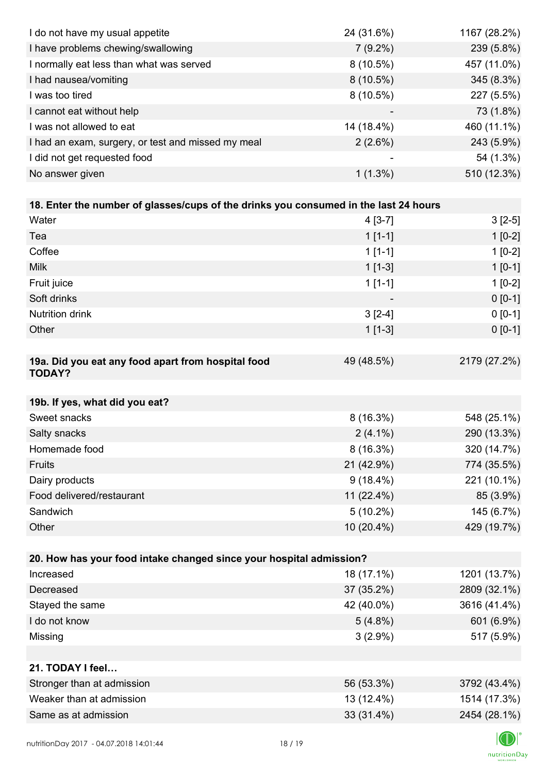| I do not have my usual appetite                                                      | 24 (31.6%)  | 1167 (28.2%) |
|--------------------------------------------------------------------------------------|-------------|--------------|
| I have problems chewing/swallowing                                                   | $7(9.2\%)$  | 239 (5.8%)   |
| I normally eat less than what was served                                             | $8(10.5\%)$ | 457 (11.0%)  |
| I had nausea/vomiting                                                                | $8(10.5\%)$ | 345 (8.3%)   |
| I was too tired                                                                      | $8(10.5\%)$ | 227 (5.5%)   |
| I cannot eat without help                                                            |             | 73 (1.8%)    |
| I was not allowed to eat                                                             | 14 (18.4%)  | 460 (11.1%)  |
| I had an exam, surgery, or test and missed my meal                                   | 2(2.6%)     | 243 (5.9%)   |
| I did not get requested food                                                         |             | 54 (1.3%)    |
| No answer given                                                                      | $1(1.3\%)$  | 510 (12.3%)  |
|                                                                                      |             |              |
| 18. Enter the number of glasses/cups of the drinks you consumed in the last 24 hours |             |              |
| Water                                                                                | $4[3-7]$    | $3[2-5]$     |
| Tea                                                                                  | $1[1-1]$    | $1[0-2]$     |
| Coffee                                                                               | $1[1-1]$    | $1[0-2]$     |
| <b>Milk</b>                                                                          | $1[1-3]$    | $1[0-1]$     |
| Fruit juice                                                                          | $1[1-1]$    | $1[0-2]$     |
| Soft drinks                                                                          |             | $0 [0-1]$    |
| Nutrition drink                                                                      | $3[2-4]$    | $0 [0-1]$    |
| Other                                                                                | $1[1-3]$    | $0 [0-1]$    |
|                                                                                      |             |              |
| 19a. Did you eat any food apart from hospital food<br><b>TODAY?</b>                  | 49 (48.5%)  | 2179 (27.2%) |
| 19b. If yes, what did you eat?                                                       |             |              |
| Sweet snacks                                                                         | $8(16.3\%)$ | 548 (25.1%)  |
| Salty snacks                                                                         | $2(4.1\%)$  | 290 (13.3%)  |
| Homemade food                                                                        | $8(16.3\%)$ | 320 (14.7%)  |
| Fruits                                                                               | 21 (42.9%)  | 774 (35.5%)  |
| Dairy products                                                                       | $9(18.4\%)$ | 221 (10.1%)  |
| Food delivered/restaurant                                                            | 11 (22.4%)  | 85 (3.9%)    |
| Sandwich                                                                             | $5(10.2\%)$ | 145 (6.7%)   |
| Other                                                                                | 10 (20.4%)  | 429 (19.7%)  |
|                                                                                      |             |              |
| 20. How has your food intake changed since your hospital admission?                  |             |              |
| Increased                                                                            | 18 (17.1%)  | 1201 (13.7%) |
| Decreased                                                                            | 37 (35.2%)  | 2809 (32.1%) |
| Stayed the same                                                                      | 42 (40.0%)  | 3616 (41.4%) |
| I do not know                                                                        | $5(4.8\%)$  | 601 (6.9%)   |
| Missing                                                                              | $3(2.9\%)$  | 517 (5.9%)   |
|                                                                                      |             |              |
| 21. TODAY I feel                                                                     |             |              |
| Stronger than at admission                                                           | 56 (53.3%)  | 3792 (43.4%) |
| Weaker than at admission                                                             | 13 (12.4%)  | 1514 (17.3%) |
| Same as at admission                                                                 | 33 (31.4%)  | 2454 (28.1%) |
|                                                                                      |             |              |